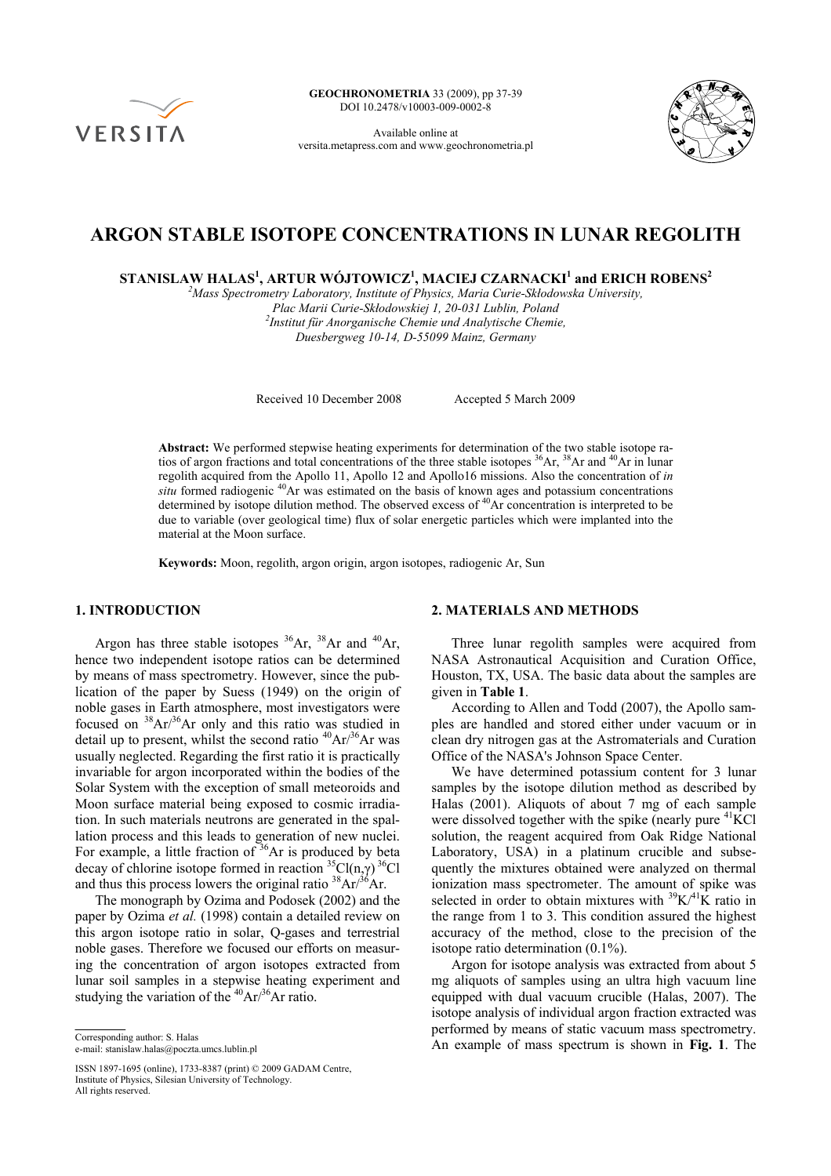

**GEOCHRONOMETRIA** 33 (2009), pp 37-39 DOI 10.2478/v10003-009-0002-8

Available online at versita.metapress.com and www.geochronometria.pl



# **ARGON STABLE ISOTOPE CONCENTRATIONS IN LUNAR REGOLITH**

 $\,$ STANISLAW HALAS<sup>1</sup>, ARTUR WÓJTOWICZ<sup>1</sup>, MACIEJ CZARNACKI<sup>1</sup> and ERICH ROBENS $^2$ 

*2 Mass Spectrometry Laboratory, Institute of Physics, Maria Curie-Skłodowska University,* 

*Plac Marii Curie-Skłodowskiej 1, 20-031 Lublin, Poland 2 Institut für Anorganische Chemie und Analytische Chemie,* 

*Duesbergweg 10-14, D-55099 Mainz, Germany* 

Received 10 December 2008 Accepted 5 March 2009

**Abstract:** We performed stepwise heating experiments for determination of the two stable isotope ratios of argon fractions and total concentrations of the three stable isotopes <sup>36</sup>Ar, <sup>38</sup>Ar and <sup>40</sup>Ar in lunar regolith acquired from the Apollo 11, Apollo 12 and Apollo16 missions. Also the concentration of *in situ* formed radiogenic <sup>40</sup>Ar was estimated on the basis of known ages and potassium concentrations determined by isotope dilution method. The observed excess of <sup>40</sup>Ar concentration is interpreted to be due to variable (over geological time) flux of solar energetic particles which were implanted into the material at the Moon surface.

**Keywords:** Moon, regolith, argon origin, argon isotopes, radiogenic Ar, Sun

#### **1. INTRODUCTION**

Argon has three stable isotopes  ${}^{36}Ar$ ,  ${}^{38}Ar$  and  ${}^{40}Ar$ , hence two independent isotope ratios can be determined by means of mass spectrometry. However, since the publication of the paper by Suess (1949) on the origin of noble gases in Earth atmosphere, most investigators were focused on  ${}^{38}Ar/{}^{36}Ar$  only and this ratio was studied in detail up to present, whilst the second ratio  ${}^{40}Ar/{}^{36}Ar$  was usually neglected. Regarding the first ratio it is practically invariable for argon incorporated within the bodies of the Solar System with the exception of small meteoroids and Moon surface material being exposed to cosmic irradiation. In such materials neutrons are generated in the spallation process and this leads to generation of new nuclei. For example, a little fraction of  $36\text{Ar}$  is produced by beta decay of chlorine isotope formed in reaction  ${}^{35}Cl(n,\gamma)$   ${}^{36}Cl$ and thus this process lowers the original ratio  $38Ar^{36}Ar$ .

The monograph by Ozima and Podosek (2002) and the paper by Ozima *et al.* (1998) contain a detailed review on this argon isotope ratio in solar, Q-gases and terrestrial noble gases. Therefore we focused our efforts on measuring the concentration of argon isotopes extracted from lunar soil samples in a stepwise heating experiment and studying the variation of the  ${}^{40}Ar/{}^{36}Ar$  ratio.

e-mail: stanislaw.halas@poczta.umcs.lublin.pl

ISSN 1897-1695 (online), 1733-8387 (print) © 2009 GADAM Centre, Institute of Physics, Silesian University of Technology. All rights reserved.

### **2. MATERIALS AND METHODS**

Three lunar regolith samples were acquired from NASA Astronautical Acquisition and Curation Office, Houston, TX, USA. The basic data about the samples are given in **Table 1**.

According to Allen and Todd (2007), the Apollo samples are handled and stored either under vacuum or in clean dry nitrogen gas at the Astromaterials and Curation Office of the NASA's Johnson Space Center.

We have determined potassium content for 3 lunar samples by the isotope dilution method as described by Halas (2001). Aliquots of about 7 mg of each sample were dissolved together with the spike (nearly pure  $^{41}$ KCl solution, the reagent acquired from Oak Ridge National Laboratory, USA) in a platinum crucible and subsequently the mixtures obtained were analyzed on thermal ionization mass spectrometer. The amount of spike was selected in order to obtain mixtures with  ${}^{39}$ K/ ${}^{41}$ K ratio in the range from 1 to 3. This condition assured the highest accuracy of the method, close to the precision of the isotope ratio determination (0.1%).

Argon for isotope analysis was extracted from about 5 mg aliquots of samples using an ultra high vacuum line equipped with dual vacuum crucible (Halas, 2007). The isotope analysis of individual argon fraction extracted was performed by means of static vacuum mass spectrometry. Corresponding author: S. Halas<br>
e-mail: stanislaw halas@poczta.umcs.lublin.pl<br>
An example of mass spectrum is shown in **Fig. 1**. The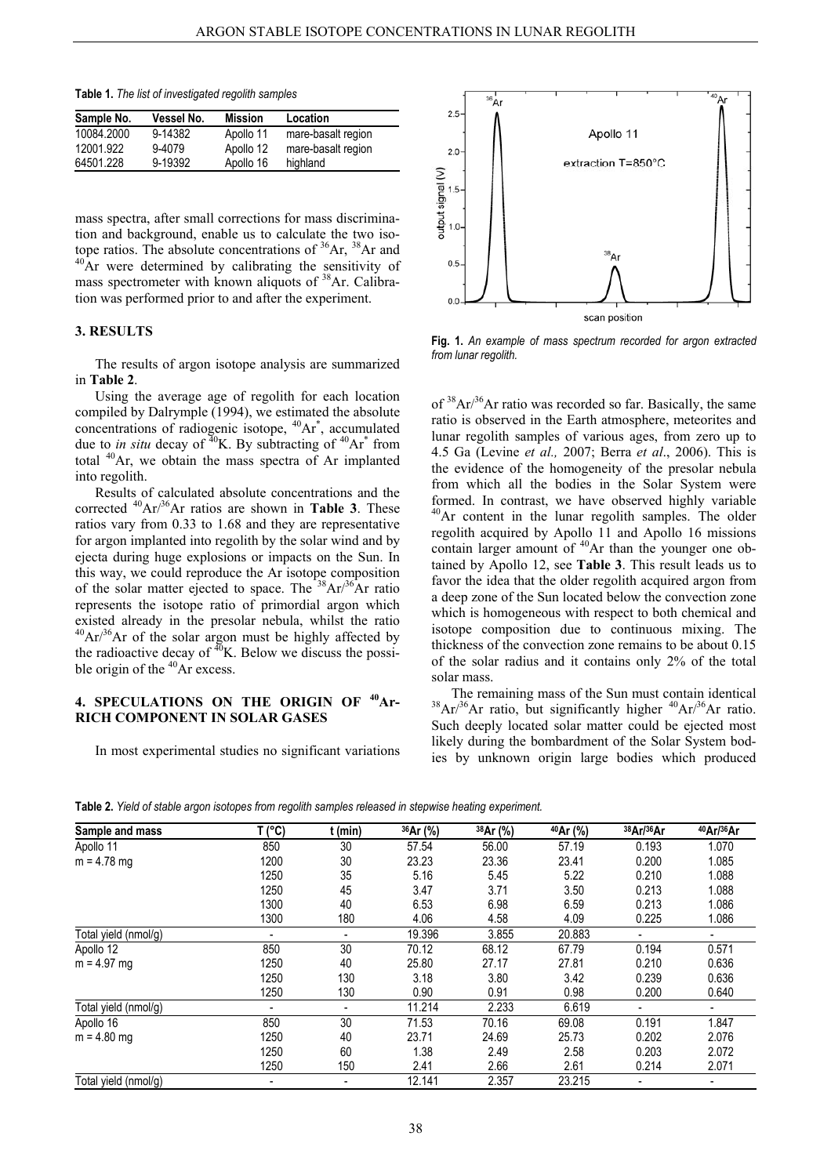**Table 1.** *The list of investigated regolith samples* 

| Sample No. | Vessel No. | <b>Mission</b> | Location           |
|------------|------------|----------------|--------------------|
| 10084.2000 | 9-14382    | Apollo 11      | mare-basalt region |
| 12001.922  | 9-4079     | Apollo 12      | mare-basalt region |
| 64501.228  | 9-19392    | Apollo 16      | highland           |

mass spectra, after small corrections for mass discrimination and background, enable us to calculate the two isotope ratios. The absolute concentrations of  $36Ar$ ,  $38Ar$  and  $40Ar$  were determined by calibrating the sensitivity of mass spectrometer with known aliquots of 38Ar. Calibration was performed prior to and after the experiment.

## **3. RESULTS**

The results of argon isotope analysis are summarized in **Table 2**.

Using the average age of regolith for each location compiled by Dalrymple (1994), we estimated the absolute concentrations of radiogenic isotope,  ${}^{40}Ar$ <sup>\*</sup>, accumulated due to *in situ* decay of  $^{40}K$ . By subtracting of  $^{40}Ar^*$  from total 40Ar, we obtain the mass spectra of Ar implanted into regolith.

Results of calculated absolute concentrations and the corrected 40Ar/36Ar ratios are shown in **Table 3**. These ratios vary from 0.33 to 1.68 and they are representative for argon implanted into regolith by the solar wind and by ejecta during huge explosions or impacts on the Sun. In this way, we could reproduce the Ar isotope composition of the solar matter ejected to space. The  $38Ar^{36}Ar$  ratio represents the isotope ratio of primordial argon which existed already in the presolar nebula, whilst the ratio  $^{40}Ar/^{36}Ar$  of the solar argon must be highly affected by the radioactive decay of  $^{40}$ K. Below we discuss the possible origin of the  $^{40}$ Ar excess.

## **4. SPECULATIONS ON THE ORIGIN OF 40Ar-RICH COMPONENT IN SOLAR GASES**

In most experimental studies no significant variations



**Fig. 1.** *An example of mass spectrum recorded for argon extracted from lunar regolith.* 

of  $38Ar^{36}$ Ar ratio was recorded so far. Basically, the same ratio is observed in the Earth atmosphere, meteorites and lunar regolith samples of various ages, from zero up to 4.5 Ga (Levine *et al.,* 2007; Berra *et al*., 2006). This is the evidence of the homogeneity of the presolar nebula from which all the bodies in the Solar System were formed. In contrast, we have observed highly variable <sup>40</sup>Ar content in the lunar regolith samples. The older regolith acquired by Apollo 11 and Apollo 16 missions contain larger amount of  $40\text{Ar}$  than the younger one obtained by Apollo 12, see **Table 3**. This result leads us to favor the idea that the older regolith acquired argon from a deep zone of the Sun located below the convection zone which is homogeneous with respect to both chemical and isotope composition due to continuous mixing. The thickness of the convection zone remains to be about 0.15 of the solar radius and it contains only 2% of the total solar mass.

The remaining mass of the Sun must contain identical  ${}^{38}Ar/{}^{36}Ar$  ratio, but significantly higher  ${}^{40}Ar/{}^{36}Ar$  ratio. Such deeply located solar matter could be ejected most likely during the bombardment of the Solar System bodies by unknown origin large bodies which produced

Sample and mass T (°C) t (min) <sup>36</sup>Ar (%) <sup>38</sup>Ar (%) <sup>40</sup>Ar (%) <sup>38</sup>Ar/<sup>36</sup>Ar <sup>40</sup>Ar/<sup>36</sup>Ar Apollo 11 850 30 57.54 56.00 57.19 0.193 1.070 m = 4.78 mg 1200 30 23.23 23.36 23.41 0.200 1.085 1250 35 5.16 5.45 5.22 0.210 1.088 1250 45 3.47 3.71 3.50 0.213 1.088 1300 40 6.53 6.98 6.59 0.213 1.086 1300 180 4.06 4.58 4.09 0.225 1.086 Total yield (nmol/g) - - 19.396 3.855 20.883 - - Apollo 12 850 30 70.12 68.12 67.79 0.194 0.571 m = 4.97 mg 1250 40 25.80 27.17 27.81 0.210 0.636 1250 130 3.18 3.80 3.42 0.239 0.636 1250 130 0.90 0.91 0.98 0.200 0.640 Total yield (nmol/g)  $\qquad \qquad -$  - 11.214 2.233 6.619 Apollo 16 850 30 71.53 70.16 69.08 0.191 1.847 m = 4.80 mg 1250 40 23.71 24.69 25.73 0.202 2.076 1250 60 1.38 2.49 2.58 0.203 2.072 1250 150 2.41 2.66 2.61 0.214 2.071 Total yield (nmol/g) - - 12.141 2.357 23.215 - -

**Table 2.** *Yield of stable argon isotopes from regolith samples released in stepwise heating experiment.*